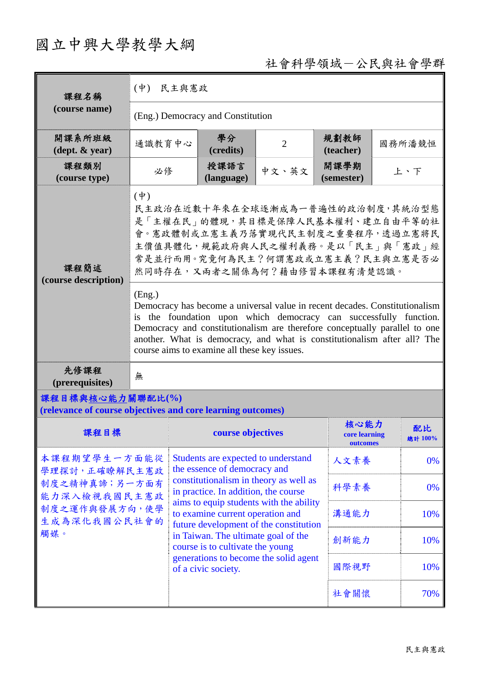## 國立中興大學教學大綱

## 社會科學領域-公民與社會學群

| 課程名稱                                                                            | $($ 中 $)$<br>民主與憲政                                                                                                                                                                                                                                                                                                                                                                                                                                                                                                                                                                                         |                                                                                                                                                                                                  |                |                                   |        |               |  |
|---------------------------------------------------------------------------------|------------------------------------------------------------------------------------------------------------------------------------------------------------------------------------------------------------------------------------------------------------------------------------------------------------------------------------------------------------------------------------------------------------------------------------------------------------------------------------------------------------------------------------------------------------------------------------------------------------|--------------------------------------------------------------------------------------------------------------------------------------------------------------------------------------------------|----------------|-----------------------------------|--------|---------------|--|
| (course name)                                                                   | (Eng.) Democracy and Constitution                                                                                                                                                                                                                                                                                                                                                                                                                                                                                                                                                                          |                                                                                                                                                                                                  |                |                                   |        |               |  |
| 開課系所班級<br>$(\text{dept.} \& \text{ year})$                                      | 通識教育中心                                                                                                                                                                                                                                                                                                                                                                                                                                                                                                                                                                                                     | 學分<br>(credits)                                                                                                                                                                                  | $\overline{2}$ | 規劃教師<br>(teacher)                 | 國務所潘競恒 |               |  |
| 課程類別<br>(course type)                                                           | 必修                                                                                                                                                                                                                                                                                                                                                                                                                                                                                                                                                                                                         | 授課語言<br>(language)                                                                                                                                                                               | 中文、英文          | 開課學期<br>(semester)                | 上、下    |               |  |
| 課程簡述<br>(course description)                                                    | $(\dot{\Psi})$<br>民主政治在近數十年來在全球逐漸成為一普遍性的政治制度,其統治型態<br>是「主權在民」的體現,其目標是保障人民基本權利、建立自由平等的社<br>會。憲政體制或立憲主義乃落實現代民主制度之重要程序,透過立憲將民<br>主價值具體化,規範政府與人民之權利義務。是以「民主」與「憲政」經<br>常是並行而用。究竟何為民主?何謂憲政或立憲主義?民主與立憲是否必<br>然同時存在,又兩者之關係為何?藉由修習本課程有清楚認識。<br>(Eng.)<br>Democracy has become a universal value in recent decades. Constitutionalism<br>is the foundation upon which democracy can successfully function.<br>Democracy and constitutionalism are therefore conceptually parallel to one<br>another. What is democracy, and what is constitutionalism after all? The<br>course aims to examine all these key issues. |                                                                                                                                                                                                  |                |                                   |        |               |  |
| 先修課程<br>(prerequisites)                                                         | 無                                                                                                                                                                                                                                                                                                                                                                                                                                                                                                                                                                                                          |                                                                                                                                                                                                  |                |                                   |        |               |  |
| 課程目標與核心能力關聯配比(%)<br>(relevance of course objectives and core learning outcomes) |                                                                                                                                                                                                                                                                                                                                                                                                                                                                                                                                                                                                            |                                                                                                                                                                                                  |                |                                   |        |               |  |
| 課程目標                                                                            |                                                                                                                                                                                                                                                                                                                                                                                                                                                                                                                                                                                                            | course objectives                                                                                                                                                                                |                | 核心能力<br>core learning<br>outcomes |        | 配比<br>總計 100% |  |
| 本課程期望學生一方面能從<br>學理探討,正確瞭解民主憲政                                                   |                                                                                                                                                                                                                                                                                                                                                                                                                                                                                                                                                                                                            | Students are expected to understand<br>the essence of democracy and<br>constitutionalism in theory as well as<br>in practice. In addition, the course                                            |                | 人文素養                              |        | 0%            |  |
| 制度之精神真諦;另一方面有<br>能力深入檢視我國民主憲政                                                   |                                                                                                                                                                                                                                                                                                                                                                                                                                                                                                                                                                                                            |                                                                                                                                                                                                  |                | 科學素養                              |        | 0%            |  |
| 制度之運作與發展方向,使學<br>生成為深化我國公民社會的                                                   |                                                                                                                                                                                                                                                                                                                                                                                                                                                                                                                                                                                                            | aims to equip students with the ability<br>to examine current operation and<br>future development of the constitution<br>in Taiwan. The ultimate goal of the<br>course is to cultivate the young |                |                                   |        | 10%           |  |
| 觸媒。                                                                             |                                                                                                                                                                                                                                                                                                                                                                                                                                                                                                                                                                                                            |                                                                                                                                                                                                  |                |                                   |        | 10%           |  |
|                                                                                 |                                                                                                                                                                                                                                                                                                                                                                                                                                                                                                                                                                                                            | generations to become the solid agent<br>of a civic society.                                                                                                                                     |                | 國際視野                              |        | 10%           |  |
|                                                                                 |                                                                                                                                                                                                                                                                                                                                                                                                                                                                                                                                                                                                            |                                                                                                                                                                                                  |                |                                   | 社會關懷   | 70%           |  |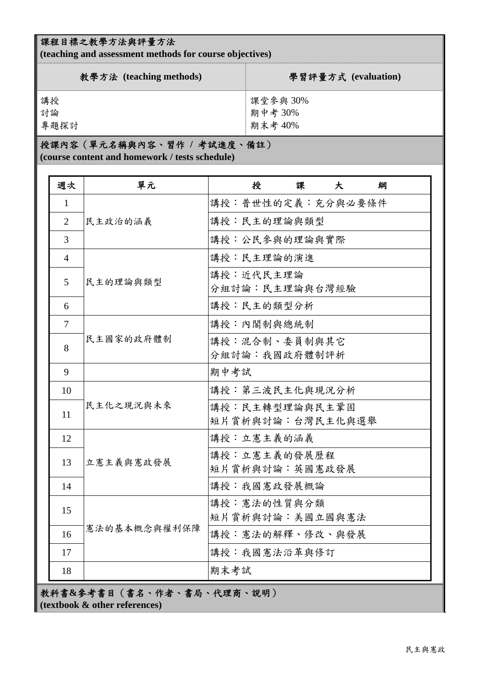## 課程目標之教學方法與評量方法

**(teaching and assessment methods for course objectives)** 

| 教學方法 (teaching methods) | 學習評量方式 (evaluation) |
|-------------------------|---------------------|
| 講授                      | 課堂參與30%             |
| 討論                      | 期中考30%              |
| 專題探討                    | 期末考 40%             |

## 授課內容(單元名稱與內容、習作 **/** 考試進度、備註)

**(course content and homework / tests schedule)** 

| 週次             | 單元           | 授<br>課<br>大<br>綱  |
|----------------|--------------|-------------------|
| 1              |              | 講授:普世性的定義:充分與必要條件 |
| $\overline{2}$ | 民主政治的涵義      | 講授:民主的理論與類型       |
| 3              |              | 講授:公民參與的理論與實際     |
| $\overline{4}$ |              | 講授:民主理論的演進        |
| 5              | 民主的理論與類型     | 講授:近代民主理論         |
|                |              | 分組討論:民主理論與台灣經驗    |
| 6              |              | 講授:民主的類型分析        |
| $\overline{7}$ |              | 講授:內閣制與總統制        |
| 8              | 民主國家的政府體制    | 講授:混合制、委員制與其它     |
|                |              | 分組討論:我國政府體制評析     |
| 9              |              | 期中考試              |
| 10             | 民主化之現況與未來    | 講授:第三波民主化與現況分析    |
| 11             |              | 講授:民主轉型理論與民主鞏固    |
|                |              | 短片賞析與討論:台灣民主化與選舉  |
| 12             | 立憲主義與憲政發展    | 講授:立憲主義的涵義        |
| 13             |              | 講授:立憲主義的發展歷程      |
|                |              | 短片賞析與討論:英國憲政發展    |
| 14             |              | 講授:我國憲政發展概論       |
| 15             | 憲法的基本概念與權利保障 | 講授:憲法的性質與分類       |
|                |              | 短片賞析與討論:美國立國與憲法   |
| 16             |              | 講授:憲法的解釋、修改、與發展   |
| 17             |              | 講授:我國憲法沿革與修訂      |
| 18             |              | 期末考試              |

教科書**&**參考書目(書名、作者、書局、代理商、說明) **(textbook & other references)**